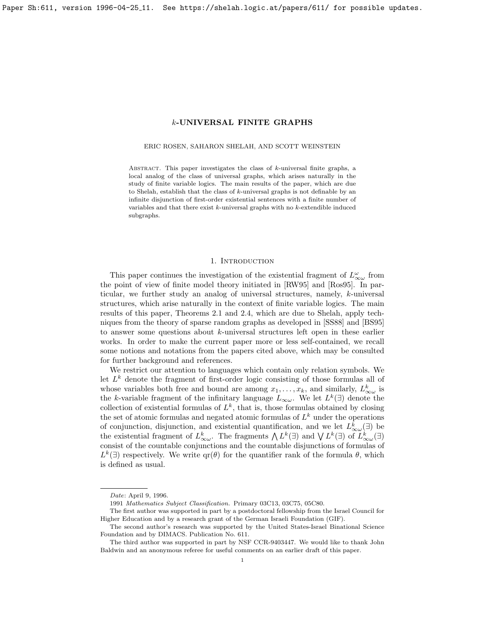<span id="page-0-0"></span>Paper Sh:611, version 1996-04-25<sub>-</sub>11. See https://shelah.logic.at/papers/611/ for possible updates.

# k-UNIVERSAL FINITE GRAPHS

## ERIC ROSEN, SAHARON SHELAH, AND SCOTT WEINSTEIN

ABSTRACT. This paper investigates the class of  $k$ -universal finite graphs, a local analog of the class of universal graphs, which arises naturally in the study of finite variable logics. The main results of the paper, which are due to Shelah, establish that the class of k-universal graphs is not definable by an infinite disjunction of first-order existential sentences with a finite number of variables and that there exist  $k$ -universal graphs with no  $k$ -extendible induced subgraphs.

# 1. INTRODUCTION

This paper continues the investigation of the existential fragment of  $L^{\omega}_{\infty \omega}$  from the point of view of finite model theory initiated in [\[RW95\]](#page-11-0) and [\[Ros95\]](#page-11-1). In particular, we further study an analog of universal structures, namely, k-universal structures, which arise naturally in the context of finite variable logics. The main results of this paper, Theorems [2.1](#page-2-0) and [2.4,](#page-2-1) which are due to Shelah, apply techniques from the theory of sparse random graphs as developed in [\[SS88\]](#page-11-2) and [\[BS95\]](#page-11-3) to answer some questions about k-universal structures left open in these earlier works. In order to make the current paper more or less self-contained, we recall some notions and notations from the papers cited above, which may be consulted for further background and references.

We restrict our attention to languages which contain only relation symbols. We let  $L^k$  denote the fragment of first-order logic consisting of those formulas all of whose variables both free and bound are among  $x_1, \ldots, x_k$ , and similarly,  $L^k_{\infty \omega}$  is the k-variable fragment of the infinitary language  $L_{\infty \omega}$ . We let  $L^k(\exists)$  denote the collection of existential formulas of  $L^k$ , that is, those formulas obtained by closing the set of atomic formulas and negated atomic formulas of  $L^k$  under the operations of conjunction, disjunction, and existential quantification, and we let  $L_{\infty\omega}^k(\exists)$  be the existential fragment of  $L_{\infty\omega}^k$ . The fragments  $\bigwedge L^k(\exists)$  and  $\bigvee L^k(\exists)$  of  $L_{\infty\omega}^k(\exists)$ consist of the countable conjunctions and the countable disjunctions of formulas of  $L^k(\exists)$  respectively. We write  $\text{qr}(\theta)$  for the quantifier rank of the formula  $\theta$ , which is defined as usual.

Date: April 9, 1996.

<sup>1991</sup> Mathematics Subject Classification. Primary 03C13, 03C75, 05C80.

The first author was supported in part by a postdoctoral fellowship from the Israel Council for Higher Education and by a research grant of the German Israeli Foundation (GIF).

The second author's research was supported by the United States-Israel Binational Science Foundation and by DIMACS. Publication No. 611.

The third author was supported in part by NSF CCR-9403447. We would like to thank John Baldwin and an anonymous referee for useful comments on an earlier draft of this paper.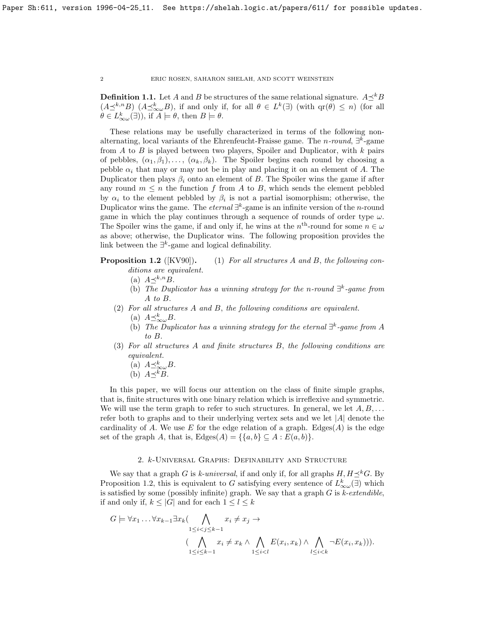**Definition 1.1.** Let A and B be structures of the same relational signature.  $A \prec^k B$  $(A\preceq^{k,n}B)$   $(A\preceq^k_{\infty}\omega B)$ , if and only if, for all  $\theta \in L^k(\exists)$  (with  $\text{qr}(\theta) \leq n$ ) (for all  $\theta \in L^k_{\infty}(\exists)$ , if  $A \models \theta$ , then  $B \models \theta$ .

These relations may be usefully characterized in terms of the following nonalternating, local variants of the Ehrenfeucht-Fraisse game. The *n-round*,  $\exists^{k}$ -game from  $A$  to  $B$  is played between two players, Spoiler and Duplicator, with  $k$  pairs of pebbles,  $(\alpha_1, \beta_1), \ldots, (\alpha_k, \beta_k)$ . The Spoiler begins each round by choosing a pebble  $\alpha_i$  that may or may not be in play and placing it on an element of A. The Duplicator then plays  $\beta_i$  onto an element of B. The Spoiler wins the game if after any round  $m \leq n$  the function f from A to B, which sends the element pebbled by  $\alpha_i$  to the element pebbled by  $\beta_i$  is not a partial isomorphism; otherwise, the Duplicator wins the game. The *eternal*  $\exists^{k}$ -game is an infinite version of the *n*-round game in which the play continues through a sequence of rounds of order type  $\omega$ . The Spoiler wins the game, if and only if, he wins at the  $n<sup>th</sup>$ -round for some  $n \in \omega$ as above; otherwise, the Duplicator wins. The following proposition provides the link between the  $\exists^k$ -game and logical definability.

**Proposition 1.2** ([\[KV90\]](#page-11-4)). (1) For all structures A and B, the following conditions are equivalent.

- (a)  $A \prec^{k,n} B$ .
- (b) The Duplicator has a winning strategy for the n-round  $\exists^k$ -game from A to B.
- (2) For all structures A and B, the following conditions are equivalent.
	- (a)  $A \preceq_{\infty \omega}^k B$ .
	- (b) The Duplicator has a winning strategy for the eternal  $\exists^{k}$ -game from A to B.
- (3) For all structures A and finite structures B, the following conditions are equivalent.
	- (a)  $A \preceq_{\infty \omega}^k B$ .
	- (b)  $A\preceq^k B$ .

In this paper, we will focus our attention on the class of finite simple graphs, that is, finite structures with one binary relation which is irreflexive and symmetric. We will use the term graph to refer to such structures. In general, we let  $A, B, \ldots$ refer both to graphs and to their underlying vertex sets and we let  $|A|$  denote the cardinality of A. We use E for the edge relation of a graph. Edges $(A)$  is the edge set of the graph A, that is,  $\text{Edges}(A) = \{\{a, b\} \subseteq A : E(a, b)\}.$ 

# 2. k-Universal Graphs: Definability and Structure

We say that a graph G is k-universal, if and only if, for all graphs  $H, H \preceq^k G$ . By Proposition [1.2,](#page-0-0) this is equivalent to G satisfying every sentence of  $L_{\infty}^k(\exists)$  which is satisfied by some (possibly infinite) graph. We say that a graph  $G$  is k-extendible, if and only if,  $k \leq |G|$  and for each  $1 \leq l \leq k$ 

$$
G \models \forall x_1 \dots \forall x_{k-1} \exists x_k (\bigwedge_{1 \leq i < j \leq k-1} x_i \neq x_j \rightarrow \bigwedge_{1 \leq i < j \leq k-1} x_i \neq x_k \land \bigwedge_{1 \leq i < l} E(x_i, x_k) \land \bigwedge_{1 \leq i < k} \neg E(x_i, x_k))).
$$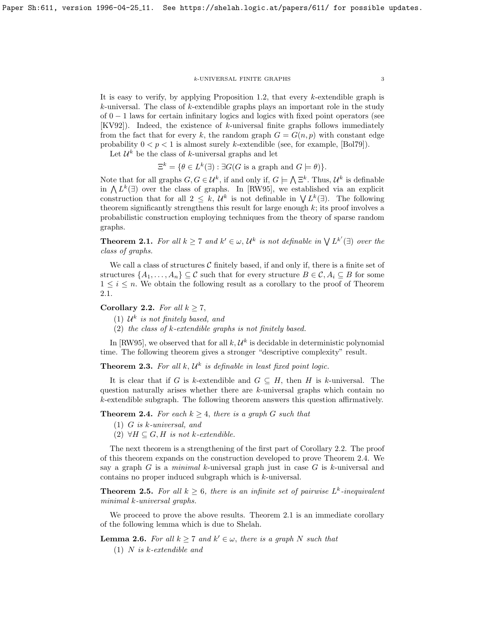## k-UNIVERSAL FINITE GRAPHS 3

It is easy to verify, by applying Proposition [1.2,](#page-0-0) that every k-extendible graph is k-universal. The class of k-extendible graphs plays an important role in the study of  $0 - 1$  laws for certain infinitary logics and logics with fixed point operators (see [\[KV92\]](#page-11-5)). Indeed, the existence of k-universal finite graphs follows immediately from the fact that for every k, the random graph  $G = G(n, p)$  with constant edge probability  $0 < p < 1$  is almost surely k-extendible (see, for example, [\[Bol79\]](#page-11-6)).

Let  $\mathcal{U}^k$  be the class of k-universal graphs and let

 $\Xi^k = \{ \theta \in L^k(\exists) : \exists G(G \text{ is a graph and } G \models \theta) \}.$ 

Note that for all graphs  $G, G \in \mathcal{U}^k$ , if and only if,  $G \models \bigwedge \Xi^k$ . Thus,  $\mathcal{U}^k$  is definable in  $\Lambda L^k(\exists)$  over the class of graphs. In [\[RW95\]](#page-11-0), we established via an explicit construction that for all  $2 \leq k$ ,  $\mathcal{U}^k$  is not definable in  $\bigvee L^k(\exists)$ . The following theorem significantly strengthens this result for large enough  $k$ ; its proof involves a probabilistic construction employing techniques from the theory of sparse random graphs.

<span id="page-2-0"></span>**Theorem 2.1.** For all  $k \geq 7$  and  $k' \in \omega$ ,  $\mathcal{U}^k$  is not definable in  $\bigvee L^{k'}(\exists)$  over the class of graphs.

We call a class of structures  $C$  finitely based, if and only if, there is a finite set of structures  $\{A_1, \ldots, A_n\} \subseteq \mathcal{C}$  such that for every structure  $B \in \mathcal{C}, A_i \subseteq B$  for some  $1 \leq i \leq n$ . We obtain the following result as a corollary to the proof of Theorem [2.1.](#page-2-0)

# <span id="page-2-2"></span>Corollary 2.2. For all  $k \geq 7$ ,

- (1)  $\mathcal{U}^k$  is not finitely based, and
- (2) the class of k-extendible graphs is not finitely based.

In [\[RW95\]](#page-11-0), we observed that for all  $k, \mathcal{U}^k$  is decidable in deterministic polynomial time. The following theorem gives a stronger "descriptive complexity" result.

<span id="page-2-4"></span>**Theorem 2.3.** For all k,  $\mathcal{U}^k$  is definable in least fixed point logic.

It is clear that if G is k-extendible and  $G \subseteq H$ , then H is k-universal. The question naturally arises whether there are  $k$ -universal graphs which contain no k-extendible subgraph. The following theorem answers this question affirmatively.

<span id="page-2-1"></span>**Theorem 2.4.** For each  $k \geq 4$ , there is a graph G such that

- (1) G is k-universal, and
- (2)  $\forall H \subseteq G, H$  is not k-extendible.

The next theorem is a strengthening of the first part of Corollary [2.2.](#page-2-2) The proof of this theorem expands on the construction developed to prove Theorem [2.4.](#page-2-1) We say a graph  $G$  is a *minimal* k-universal graph just in case  $G$  is k-universal and contains no proper induced subgraph which is k-universal.

<span id="page-2-5"></span>**Theorem 2.5.** For all  $k \geq 6$ , there is an infinite set of pairwise  $L^k$ -inequivalent minimal k-universal graphs.

We proceed to prove the above results. Theorem [2.1](#page-2-0) is an immediate corollary of the following lemma which is due to Shelah.

<span id="page-2-3"></span>**Lemma 2.6.** For all  $k \geq 7$  and  $k' \in \omega$ , there is a graph N such that

(1) N is k-extendible and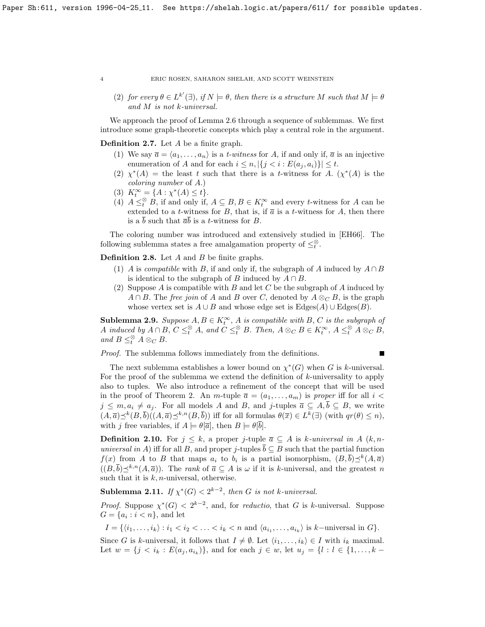(2) for every  $\theta \in L^{k'}(\exists)$ , if  $N \models \theta$ , then there is a structure M such that  $M \models \theta$ and M is not k-universal.

We approach the proof of Lemma [2.6](#page-2-3) through a sequence of sublemmas. We first introduce some graph-theoretic concepts which play a central role in the argument.

Definition 2.7. Let A be a finite graph.

- (1) We say  $\bar{a} = \langle a_1, \ldots, a_n \rangle$  is a *t-witness* for A, if and only if,  $\bar{a}$  is an injective enumeration of A and for each  $i \leq n, |\{j \leq i : E(a_j, a_i)\}| \leq t$ .
- (2)  $\chi^*(A)$  = the least t such that there is a t-witness for A.  $(\chi^*(A))$  is the coloring number of A.)
- (3)  $K_t^{\infty} = \{A : \chi^*(A) \le t\}.$
- (4)  $A \leq_t^{\otimes} B$ , if and only if,  $A \subseteq B$ ,  $B \in K_t^{\infty}$  and every *t*-witness for A can be extended to a *t*-witness for B, that is, if  $\bar{a}$  is a *t*-witness for A, then there is a  $\overline{b}$  such that  $\overline{a}\overline{b}$  is a *t*-witness for *B*.

The coloring number was introduced and extensively studied in [\[EH66\]](#page-11-7). The following sublemma states a free amalgamation property of  $\leq_t^{\otimes}$ .

**Definition 2.8.** Let  $A$  and  $B$  be finite graphs.

- (1) A is compatible with B, if and only if, the subgraph of A induced by  $A \cap B$ is identical to the subgraph of B induced by  $A \cap B$ .
- (2) Suppose A is compatible with B and let C be the subgraph of A induced by  $A \cap B$ . The free join of A and B over C, denoted by  $A \otimes_C B$ , is the graph whose vertex set is  $A \cup B$  and whose edge set is  $\text{Edges}(A) \cup \text{Edges}(B)$ .

<span id="page-3-1"></span>**Sublemma 2.9.** Suppose  $A, B \in K_t^{\infty}$ , A is compatible with B, C is the subgraph of A induced by  $A \cap B$ ,  $C \leq_t^{\otimes} A$ , and  $C \leq_t^{\otimes} B$ . Then,  $A \otimes_C B \in K_t^{\infty}$ ,  $A \leq_t^{\otimes} A \otimes_C B$ , and  $B \leq_t^{\otimes} A \otimes_C B$ .

Proof. The sublemma follows immediately from the definitions.

The next sublemma establishes a lower bound on  $\chi^*(G)$  when G is k-universal. For the proof of the sublemma we extend the definition of k-universality to apply also to tuples. We also introduce a refinement of the concept that will be used in the proof of Theorem 2. An *m*-tuple  $\overline{a} = (a_1, \ldots, a_m)$  is proper iff for all  $i <$  $j \leq m, a_i \neq a_j$ . For all models A and B, and j-tuples  $\overline{a} \subseteq A, \overline{b} \subseteq B$ , we write  $(A,\overline{a})\preceq^k(B,\overline{b})((A,\overline{a})\preceq^{k,n}(B,\overline{b}))$  iff for all formulas  $\theta(\overline{x})\in L^k(\exists)$  (with  $qr(\theta)\leq n$ ), with j free variables, if  $A \models \theta[\overline{a}]$ , then  $B \models \theta[\overline{b}]$ .

**Definition 2.10.** For  $j \leq k$ , a proper j-tuple  $\overline{a} \subseteq A$  is k-universal in A  $(k, n$ universal in A) iff for all B, and proper j-tuples  $\overline{b} \subseteq B$  such that the partial function  $f(x)$  from A to B that maps  $a_i$  to  $b_i$  is a partial isomorphism,  $(B,\bar{b})\preceq^k(A,\bar{a})$  $((B,\overline{b})\preceq^{k,n}(A,\overline{a}))$ . The *rank* of  $\overline{a} \subseteq A$  is  $\omega$  if it is k-universal, and the greatest n such that it is  $k$ , *n*-universal, otherwise.

<span id="page-3-0"></span>**Sublemma 2.11.** If  $\chi^*(G) < 2^{k-2}$ , then G is not k-universal.

*Proof.* Suppose  $\chi^*(G) < 2^{k-2}$ , and, for *reductio*, that G is k-universal. Suppose  $G = \{a_i : i < n\}$ , and let

 $I = \{ \langle i_1, \ldots, i_k \rangle : i_1 < i_2 < \ldots < i_k < n \text{ and } \langle a_{i_1}, \ldots, a_{i_k} \rangle \text{ is } k-\text{universal in } G \}.$ 

Since G is k-universal, it follows that  $I \neq \emptyset$ . Let  $\langle i_1, \ldots, i_k \rangle \in I$  with  $i_k$  maximal. Let  $w = \{j \, \leq \, i_k : E(a_j, a_{i_k})\}$ , and for each  $j \in w$ , let  $u_j = \{l : l \in \{1, \ldots, k - 1\}$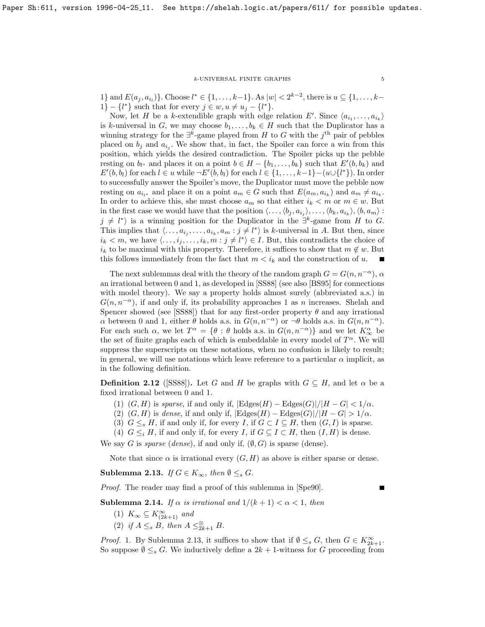## $k\text{-}\mathsf{UNIVERSAL}$ FINITE GRAPHS 5

1} and  $E(a_j, a_{i_l})\}$ . Choose  $l^* \in \{1, ..., k-1\}$ . As  $|w| < 2^{k-2}$ , there is  $u \subseteq \{1, ..., k-1\}$ . 1} – { $l^*$ } such that for every  $j \in w, u \neq u_j - \{l^*\}.$ 

Now, let H be a k-extendible graph with edge relation E'. Since  $\langle a_{i_1}, \ldots, a_{i_k} \rangle$ is k-universal in G, we may choose  $b_1, \ldots, b_k \in H$  such that the Duplicator has a winning strategy for the  $\exists^k$ -game played from H to G with the j<sup>th</sup> pair of pebbles placed on  $b_j$  and  $a_{i_j}$ . We show that, in fact, the Spoiler can force a win from this position, which yields the desired contradiction. The Spoiler picks up the pebble resting on  $b_{l^*}$  and places it on a point  $b \in H - \{b_1, \ldots, b_k\}$  such that  $E'(b, b_k)$  and  $E'(b, b_l)$  for each  $l \in u$  while  $\neg E'(b, b_l)$  for each  $l \in \{1, \ldots, k-1\} - (u \cup \{l^*\})$ . In order to successfully answer the Spoiler's move, the Duplicator must move the pebble now resting on  $a_{i_{l^*}}$  and place it on a point  $a_m \in G$  such that  $E(a_m, a_{i_k})$  and  $a_m \neq a_{i_k}$ . In order to achieve this, she must choose  $a_m$  so that either  $i_k < m$  or  $m \in w$ . But in the first case we would have that the position  $\langle \ldots, \langle b_j, a_{i_j} \rangle, \ldots, \langle b_k, a_{i_k} \rangle, \langle b, a_m \rangle$ :  $j \neq l^*$  is a winning position for the Duplicator in the  $\exists^k$ -game from H to G. This implies that  $\langle \ldots, a_{i_j}, \ldots, a_{i_k}, a_m : j \neq l^* \rangle$  is k-universal in A. But then, since  $i_k < m$ , we have  $\langle \ldots, i_j, \ldots, i_k, m : j \neq l^* \rangle \in I$ . But, this contradicts the choice of  $i_k$  to be maximal with this property. Therefore, it suffices to show that  $m \notin w$ . But this follows immediately from the fact that  $m < i_k$  and the construction of u.

The next sublemmas deal with the theory of the random graph  $G = G(n, n^{-\alpha})$ ,  $\alpha$ an irrational between 0 and 1, as developed in [\[SS88\]](#page-11-2) (see also [\[BS95\]](#page-11-3) for connections with model theory). We say a property holds almost surely (abbreviated a.s.) in  $G(n, n^{-\alpha})$ , if and only if, its probability approaches 1 as n increases. Shelah and Spencer showed (see [\[SS88\]](#page-11-2)) that for any first-order property  $\theta$  and any irrational  $\alpha$  between 0 and 1, either  $\theta$  holds a.s. in  $G(n, n^{-\alpha})$  or  $\neg \theta$  holds a.s. in  $G(n, n^{-\alpha})$ . For each such  $\alpha$ , we let  $T^{\alpha} = \{\theta : \theta \text{ holds a.s. in } G(n, n^{-\alpha})\}$  and we let  $K^{\alpha}_{\infty}$  be the set of finite graphs each of which is embeddable in every model of  $T^{\alpha}$ . We will suppress the superscripts on these notations, when no confusion is likely to result; in general, we will use notations which leave reference to a particular  $\alpha$  implicit, as in the following definition.

**Definition 2.12** ([\[SS88\]](#page-11-2)). Let G and H be graphs with  $G \subseteq H$ , and let  $\alpha$  be a fixed irrational between 0 and 1.

- (1)  $(G, H)$  is sparse, if and only if,  $|\text{Edges}(H) \text{Edges}(G)|/|H G| < 1/\alpha$ .
- (2)  $(G, H)$  is dense, if and only if,  $|\text{Edges}(H) \text{Edges}(G)|/|H G| > 1/\alpha$ .
- (3)  $G \leq_s H$ , if and only if, for every I, if  $G \subset I \subseteq H$ , then  $(G, I)$  is sparse.
- (4)  $G \leq_i H$ , if and only if, for every I, if  $G \subseteq I \subset H$ , then  $(I, H)$  is dense.

We say G is sparse (dense), if and only if,  $(\emptyset, G)$  is sparse (dense).

Note that since  $\alpha$  is irrational every  $(G, H)$  as above is either sparse or dense.

<span id="page-4-0"></span>Sublemma 2.13. If  $G \in K_{\infty}$ , then  $\emptyset \leq_s G$ .

Proof. The reader may find a proof of this sublemma in [\[Spe90\]](#page-11-8).

<span id="page-4-1"></span>**Sublemma 2.14.** If  $\alpha$  is irrational and  $1/(k+1) < \alpha < 1$ , then

- (1)  $K_{\infty} \subseteq K^{\infty}_{(2k+1)}$  and
- (2) if  $A \leq_s B$ , then  $A \leq_{2k+1}^{\otimes} B$ .

*Proof.* 1. By Sublemma [2.13,](#page-4-0) it suffices to show that if  $\emptyset \leq_s G$ , then  $G \in K^{\infty}_{2k+1}$ . So suppose  $\emptyset \leq_s G$ . We inductively define a  $2k + 1$ -witness for G proceeding from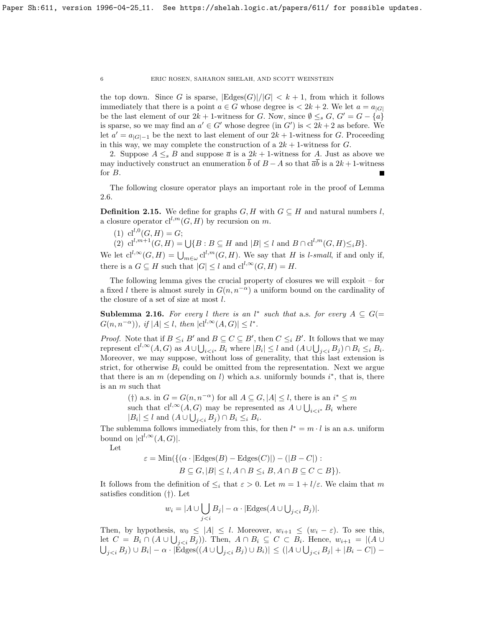the top down. Since G is sparse,  $|\text{Edges}(G)|/|G| < k+1$ , from which it follows immediately that there is a point  $a \in G$  whose degree is  $\lt 2k + 2$ . We let  $a = a_{|G|}$ be the last element of our  $2k + 1$ -witness for G. Now, since  $\emptyset \leq_s G$ ,  $G' = G - \{a\}$ is sparse, so we may find an  $a' \in G'$  whose degree (in  $G'$ ) is  $\lt 2k + 2$  as before. We let  $a' = a_{|G|-1}$  be the next to last element of our  $2k + 1$ -witness for G. Proceeding in this way, we may complete the construction of a  $2k + 1$ -witness for G.

2. Suppose  $A \leq_{s} B$  and suppose  $\overline{a}$  is a  $2k + 1$ -witness for A. Just as above we may inductively construct an enumeration  $\bar{b}$  of  $B - A$  so that  $\bar{a}\bar{b}$  is a 2k + 1-witness for B.

The following closure operator plays an important role in the proof of Lemma [2.6.](#page-2-3)

**Definition 2.15.** We define for graphs  $G, H$  with  $G \subseteq H$  and natural numbers l, a closure operator  $\mathrm{cl}^{l,m}(G,H)$  by recursion on m.

- (1)  $cl^{l,0}(G,H) = G;$
- (2)  $\mathrm{cl}^{l,m+1}(G,H) = \bigcup \{ B : B \subseteq H \text{ and } |B| \leq l \text{ and } B \cap \mathrm{cl}^{l,m}(G,H) \leq_i B \}.$

We let  $cl^{l, \infty}(G, H) = \bigcup_{m \in \omega} cl^{l,m}(G, H)$ . We say that H is l-small, if and only if, there is a  $G \subseteq H$  such that  $|G| \leq l$  and  ${\rm cl}^{l, \infty}(G,H) = H$ .

The following lemma gives the crucial property of closures we will exploit – for a fixed l there is almost surely in  $G(n, n^{-\alpha})$  a uniform bound on the cardinality of the closure of a set of size at most  $l$ .

<span id="page-5-0"></span>**Sublemma 2.16.** For every l there is an l<sup>\*</sup> such that a.s. for every  $A \subseteq G$ (=  $G(n, n^{-\alpha}))$ , if  $|A| \leq l$ , then  $|cl^{l, \infty}(A, G)| \leq l^*$ .

*Proof.* Note that if  $B \leq_i B'$  and  $B \subseteq C \subseteq B'$ , then  $C \leq_i B'$ . It follows that we may represent  $\text{cl}^{l,\infty}(A, G)$  as  $A \cup \bigcup_{i \leq i^*} B_i$  where  $|B_i| \leq l$  and  $(A \cup \bigcup_{j \leq i} B_j) \cap B_i \leq i B_i$ . Moreover, we may suppose, without loss of generality, that this last extension is strict, for otherwise  $B_i$  could be omitted from the representation. Next we argue that there is an  $m$  (depending on l) which a.s. uniformly bounds  $i^*$ , that is, there is an m such that

(†) a.s. in  $G = G(n, n^{-\alpha})$  for all  $A \subseteq G, |A| \leq l$ , there is an  $i^* \leq m$ such that  $\mathrm{cl}^{l,\infty}(A, G)$  may be represented as  $A \cup \bigcup_{i < i^*} B_i$  where  $|B_i| \leq l$  and  $(A \cup \bigcup_{j < i} B_j) \cap B_i \leq_i B_i$ .

The sublemma follows immediately from this, for then  $l^* = m \cdot l$  is an a.s. uniform bound on  $|{\rm cl}^{l,\infty}(A, G)|$ .

Let

$$
\varepsilon = \text{Min}(\{(\alpha \cdot |\text{Edges}(B) - \text{Edges}(C)|) - (|B - C|) : B \subseteq G, |B| \le l, A \cap B \le i, B, A \cap B \subseteq C \subset B \}).
$$

It follows from the definition of  $\leq_i$  that  $\varepsilon > 0$ . Let  $m = 1 + l/\varepsilon$ . We claim that m satisfies condition (†). Let

$$
w_i = |A \cup \bigcup_{j < i} B_j| - \alpha \cdot |\text{Edges}(A \cup \bigcup_{j < i} B_j)|.
$$

Then, by hypothesis,  $w_0 \leq |A| \leq l$ . Moreover,  $w_{i+1} \leq (w_i - \varepsilon)$ . To see this, let  $C = B_i \cap (A \cup \bigcup_{j < i} B_j))$ . Then,  $A \cap B_i \subseteq C \subset B_i$ . Hence,  $w_{i+1} = |(A \cup$  $\bigcup_{j < i} B_j$ ) ∪  $B_i$ | –  $\alpha \cdot |\text{Edges}((A \cup \bigcup_{j < i} B_j) \cup B_i)| \leq (|A \cup \bigcup_{j < i} B_j| + |B_i - C|) -$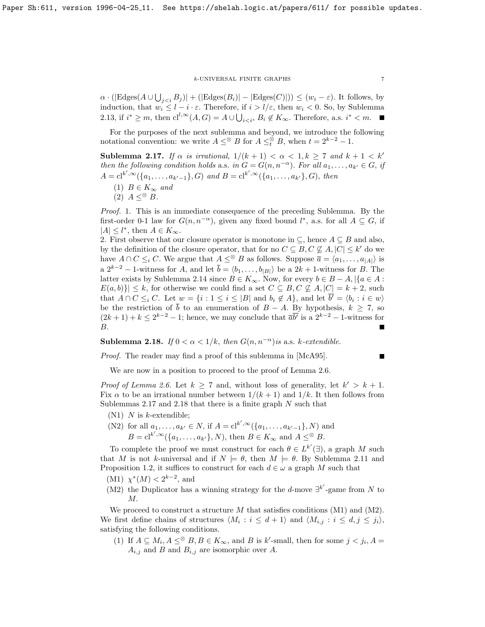### $k$  UNIVERSAL FINITE GRAPHS  $\qquad \qquad \, 7$

 $\alpha \cdot (|\text{Edges}(A \cup \bigcup_{j < i} B_j)| + (|\text{Edges}(B_i)| - |\text{Edges}(C)|)) \le (w_i - \varepsilon).$  It follows, by induction, that  $w_i \leq l - i \cdot \varepsilon$ . Therefore, if  $i > l/\varepsilon$ , then  $w_i < 0$ . So, by Sublemma [2.13,](#page-4-0) if  $i^* \geq m$ , then  $\mathrm{cl}^{l,\infty}(A, G) = A \cup \bigcup_{i < i^*} B_i \notin K_\infty$ . Therefore, a.s.  $i^* < m$ .

For the purposes of the next sublemma and beyond, we introduce the following notational convention: we write  $A \leq^{\otimes} B$  for  $A \leq^{\otimes}_t B$ , when  $t = 2^{k-2} - 1$ .

<span id="page-6-0"></span>Sublemma 2.17. If  $\alpha$  is irrational,  $1/(k+1) < \alpha < 1, k \ge 7$  and  $k+1 < k'$ then the following condition holds a.s. in  $G = G(n, n^{-\alpha})$ . For all  $a_1, \ldots, a_{k'} \in G$ , if  $A = cl^{k',\infty}(\{a_1,\ldots,a_{k'-1}\},G)$  and  $B = cl^{k',\infty}(\{a_1,\ldots,a_{k'}\},G)$ , then

- (1)  $B \in K_{\infty}$  and
- $(2)$   $A < \mathscr{B}$   $B$ .

Proof. 1. This is an immediate consequence of the preceding Sublemma. By the first-order 0-1 law for  $G(n, n^{-\alpha})$ , given any fixed bound  $l^*$ , a.s. for all  $A \subseteq G$ , if  $|A| \leq l^*,$  then  $A \in K_{\infty}$ .

2. First observe that our closure operator is monotone in  $\subseteq$ , hence  $A \subseteq B$  and also, by the definition of the closure operator, that for no  $C \subseteq B, C \nsubseteq A, |C| \leq k'$  do we have  $A \cap C \leq_i C$ . We argue that  $A \leq^{\otimes} B$  as follows. Suppose  $\overline{a} = \langle a_1, \ldots, a_{|A|} \rangle$  is a  $2^{k-2}$  – 1-witness for A, and let  $\overline{b} = \langle b_1, \ldots, b_{|B|} \rangle$  be a  $2k + 1$ -witness for B. The latter exists by Sublemma [2.14](#page-4-1) since  $B \in K_{\infty}$ . Now, for every  $b \in B - A$ , |{a ∈ A :  $E(a, b)$   $\leq k$ , for otherwise we could find a set  $C \subseteq B, C \nsubseteq A, |C| = k + 2$ , such that  $A \cap C \leq_i C$ . Let  $w = \{i : 1 \leq i \leq |B| \text{ and } b_i \notin A\}$ , and let  $\overline{b'} = \langle b_i : i \in w \rangle$ be the restriction of  $\bar{b}$  to an enumeration of  $B - A$ . By hypothesis,  $k \geq 7$ , so  $(2k+1)+k \leq 2^{k-2}-1$ ; hence, we may conclude that  $\overline{a}b^{\prime}$  is a  $2^{k-2}-1$ -witness for B.

<span id="page-6-1"></span>Sublemma 2.18. If  $0 < \alpha < 1/k$ , then  $G(n, n^{-\alpha})$  is a.s. k-extendible.

Proof. The reader may find a proof of this sublemma in [\[McA95\]](#page-11-9).

$$
\blacksquare
$$

We are now in a position to proceed to the proof of Lemma [2.6.](#page-2-3)

*Proof of Lemma [2.6.](#page-2-3)* Let  $k \geq 7$  and, without loss of generality, let  $k' > k + 1$ . Fix  $\alpha$  to be an irrational number between  $1/(k+1)$  and  $1/k$ . It then follows from Sublemmas [2.17](#page-6-0) and [2.18](#page-6-1) that there is a finite graph  $N$  such that

- $(N1)$  N is k-extendible;
- (N2) for all  $a_1, ..., a_{k'} \in N$ , if  $A = \mathrm{cl}^{k', \infty}(\{a_1, ..., a_{k'-1}\}, N)$  and  $B = cl^{k',\infty}(\{a_1,\ldots,a_{k'}\},N)$ , then  $B \in K_\infty$  and  $A \leq^\otimes B$ .

To complete the proof we must construct for each  $\theta \in L^{k'}(\exists)$ , a graph M such that M is not k-universal and if  $N \models \theta$ , then  $M \models \theta$ . By Sublemma [2.11](#page-3-0) and Proposition [1.2,](#page-0-0) it suffices to construct for each  $d \in \omega$  a graph M such that

- (M1)  $\chi^*(M) < 2^{k-2}$ , and
- (M2) the Duplicator has a winning strategy for the d-move  $\exists^{k'}$ -game from N to M.

We proceed to construct a structure  $M$  that satisfies conditions (M1) and (M2). We first define chains of structures  $\langle M_i : i \leq d+1 \rangle$  and  $\langle M_{i,j} : i \leq d, j \leq j_i \rangle$ , satisfying the following conditions.

(1) If  $A \subseteq M_i$ ,  $A \leq^{\otimes} B$ ,  $B \in K_{\infty}$ , and B is k'-small, then for some  $j < j_i$ ,  $A =$  $A_{i,j}$  and B and  $B_{i,j}$  are isomorphic over A.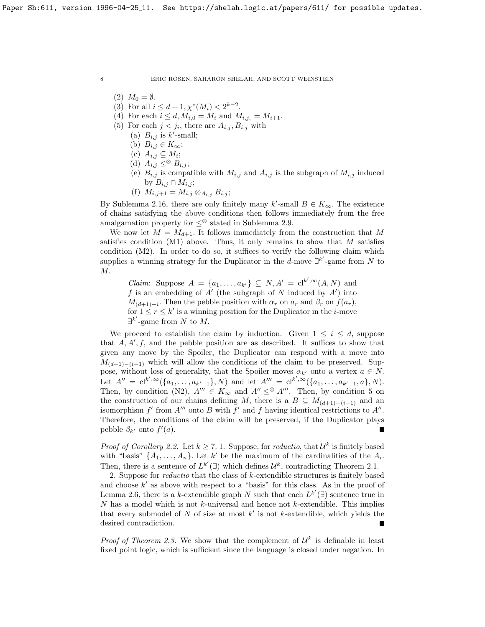- $(2)$   $M_0 = \emptyset$ .
- (3) For all  $i \leq d+1, \chi^*(M_i) < 2^{k-2}$ .
- (4) For each  $i \leq d, M_{i,0} = M_i$  and  $M_{i,j_i} = M_{i+1}$ .
- (5) For each  $j < j_i$ , there are  $A_{i,j}, B_{i,j}$  with
	- (a)  $B_{i,j}$  is k'-small;
	- (b)  $B_{i,j} \in K_\infty;$
	- (c)  $A_{i,j} \subseteq M_i;$
	- (d)  $A_{i,j} \leq^{\otimes} B_{i,j};$
	- (e)  $B_{i,j}$  is compatible with  $M_{i,j}$  and  $A_{i,j}$  is the subgraph of  $M_{i,j}$  induced by  $B_{i,j} \cap M_{i,j}$ ;
	- (f)  $M_{i,j+1} = M_{i,j} \otimes_{A_{i,j}} B_{i,j};$

By Sublemma [2.16,](#page-5-0) there are only finitely many k'-small  $B \in K_{\infty}$ . The existence of chains satisfying the above conditions then follows immediately from the free amalgamation property for  $\leq^\otimes$  stated in Sublemma [2.9.](#page-3-1)

We now let  $M = M_{d+1}$ . It follows immediately from the construction that M satisfies condition  $(M1)$  above. Thus, it only remains to show that M satisfies condition (M2). In order to do so, it suffices to verify the following claim which supplies a winning strategy for the Duplicator in the d-move  $\exists^{k'}$ -game from N to M.

*Claim:* Suppose  $A = \{a_1, \ldots, a_{k'}\} \subseteq N, A' = \text{cl}^{k', \infty}(A, N)$  and f is an embedding of  $A'$  (the subgraph of N induced by  $A'$ ) into  $M_{(d+1)-i}$ . Then the pebble position with  $\alpha_r$  on  $a_r$  and  $\beta_r$  on  $f(a_r)$ , for  $1 \leq r \leq k'$  is a winning position for the Duplicator in the *i*-move  $\exists^{k'}$ -game from N to M.

We proceed to establish the claim by induction. Given  $1 \leq i \leq d$ , suppose that  $A, A', f$ , and the pebble position are as described. It suffices to show that given any move by the Spoiler, the Duplicator can respond with a move into  $M_{(d+1)-(i-1)}$  which will allow the conditions of the claim to be preserved. Suppose, without loss of generality, that the Spoiler moves  $\alpha_{k'}$  onto a vertex  $a \in N$ . Let  $A'' = cl^{k',\infty}(\{a_1,\ldots,a_{k'-1}\},N)$  and let  $A''' = cl^{k',\infty}(\{a_1,\ldots,a_{k'-1},a\},N)$ . Then, by condition (N2),  $A''' \in K_{\infty}$  and  $A'' \leq^{\otimes} A'''$ . Then, by condition 5 on the construction of our chains defining M, there is a  $B \subseteq M_{(d+1)-(i-1)}$  and an isomorphism  $f'$  from  $A'''$  onto B with  $f'$  and f having identical restrictions to  $A''$ . Therefore, the conditions of the claim will be preserved, if the Duplicator plays pebble  $\beta_{k'}$  onto  $f'(a)$ .

*Proof of Corollary [2.2.](#page-2-2)* Let  $k \geq 7.1$ . Suppose, for *reductio*, that  $\mathcal{U}^k$  is finitely based with "basis"  $\{A_1, \ldots, A_n\}$ . Let k' be the maximum of the cardinalities of the  $A_i$ . Then, there is a sentence of  $L^{k'}(\exists)$  which defines  $\mathcal{U}^{k}$ , contradicting Theorem [2.1.](#page-2-0)

2. Suppose for *reductio* that the class of  $k$ -extendible structures is finitely based and choose  $k'$  as above with respect to a "basis" for this class. As in the proof of Lemma [2.6,](#page-2-3) there is a k-extendible graph N such that each  $L^{k'}(\exists)$  sentence true in  $N$  has a model which is not  $k$ -universal and hence not  $k$ -extendible. This implies that every submodel of  $N$  of size at most  $k'$  is not k-extendible, which yields the desired contradiction.

*Proof of Theorem [2.3.](#page-2-4)* We show that the complement of  $\mathcal{U}^k$  is definable in least fixed point logic, which is sufficient since the language is closed under negation. In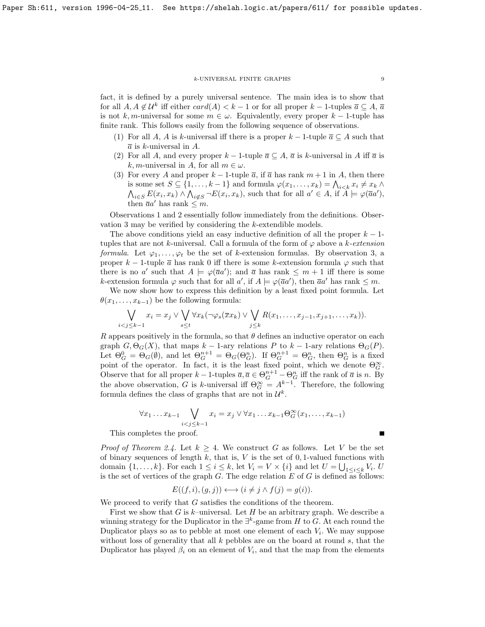### $k\text{-}\mathsf{UNIVERSAL}$  FINITE GRAPHS  $9$

fact, it is defined by a purely universal sentence. The main idea is to show that for all  $A, A \notin \mathcal{U}^k$  iff either  $card(A) < k - 1$  or for all proper  $k - 1$ -tuples  $\overline{a} \subseteq A$ ,  $\overline{a}$ is not k, m-universal for some  $m \in \omega$ . Equivalently, every proper k – 1-tuple has finite rank. This follows easily from the following sequence of observations.

- (1) For all A, A is k-universal iff there is a proper  $k-1$ -tuple  $\overline{a} \subseteq A$  such that  $\overline{a}$  is k-universal in A.
- (2) For all A, and every proper  $k-1$ -tuple  $\overline{a} \subseteq A$ ,  $\overline{a}$  is k-universal in A iff  $\overline{a}$  is k, m-universal in A, for all  $m \in \omega$ .
- (3) For every A and proper  $k-1$ -tuple  $\bar{a}$ , if  $\bar{a}$  has rank  $m+1$  in A, then there is some set  $S \subseteq \{1, \ldots, k-1\}$  and formula  $\varphi(x_1, \ldots, x_k) = \bigwedge_{i \leq k} x_i \neq x_k \wedge$  $\bigwedge_{i\in S} E(x_i,x_k) \wedge \bigwedge_{i\notin S} \neg E(x_i,x_k)$ , such that for all  $a' \in A$ , if  $\widetilde{A} \models \varphi(\overline{a}a')$ , then  $\overline{a}a'$  has rank  $\leq m$ .

Observations 1 and 2 essentially follow immediately from the definitions. Observation 3 may be verified by considering the k-extendible models.

The above conditions yield an easy inductive definition of all the proper  $k-1$ tuples that are not k-universal. Call a formula of the form of  $\varphi$  above a k-extension formula. Let  $\varphi_1, \ldots, \varphi_t$  be the set of k-extension formulas. By observation 3, a proper k – 1-tuple  $\bar{a}$  has rank 0 iff there is some k-extension formula  $\varphi$  such that there is no a' such that  $A \models \varphi(\overline{a}a')$ ; and  $\overline{a}$  has rank  $\leq m+1$  iff there is some k-extension formula  $\varphi$  such that for all  $a'$ , if  $A \models \varphi(\overline{a}a')$ , then  $\overline{a}a'$  has rank  $\leq m$ .

We now show how to express this definition by a least fixed point formula. Let  $\theta(x_1, \ldots, x_{k-1})$  be the following formula:

$$
\bigvee_{i < j \leq k-1} x_i = x_j \vee \bigvee_{s \leq t} \forall x_k (\neg \varphi_s(\overline{x}x_k) \vee \bigvee_{j \leq k} R(x_1, \dots, x_{j-1}, x_{j+1}, \dots, x_k)).
$$

R appears positively in the formula, so that  $\theta$  defines an inductive operator on each graph  $G, \Theta_G(X)$ , that maps  $k-1$ -ary relations P to  $k-1$ -ary relations  $\Theta_G(P)$ . Let  $\Theta_G^0 = \Theta_G(\emptyset)$ , and let  $\Theta_G^{n+1} = \Theta_G(\Theta_G^n)$ . If  $\Theta_G^{n+1} = \Theta_G^n$ , then  $\Theta_G^n$  is a fixed point of the operator. In fact, it is the least fixed point, which we denote  $\Theta_G^{\infty}$ . Observe that for all proper  $k-1$ -tuples  $\overline{a}, \overline{a} \in \Theta_G^{n+1} - \Theta_G^n$  iff the rank of  $\overline{a}$  is n. By the above observation, G is k-universal iff  $\Theta_G^{\infty} = A^{k-1}$ . Therefore, the following formula defines the class of graphs that are not in  $\mathcal{U}^k$ .

$$
\forall x_1 \dots x_{k-1} \bigvee_{i < j \leq k-1} x_i = x_j \vee \forall x_1 \dots x_{k-1} \Theta_G^{\infty}(x_1, \dots, x_{k-1})
$$

This completes the proof.

*Proof of Theorem [2.4.](#page-2-1)* Let  $k \geq 4$ . We construct G as follows. Let V be the set of binary sequences of length  $k$ , that is,  $V$  is the set of 0, 1-valued functions with domain  $\{1, \ldots, k\}$ . For each  $1 \leq i \leq k$ , let  $V_i = V \times \{i\}$  and let  $U = \bigcup_{1 \leq i \leq k} V_i$ . U is the set of vertices of the graph  $G$ . The edge relation  $E$  of  $G$  is defined as follows:

$$
E((f, i), (g, j)) \longleftrightarrow (i \neq j \land f(j) = g(i)).
$$

We proceed to verify that G satisfies the conditions of the theorem.

First we show that G is k–universal. Let H be an arbitrary graph. We describe a winning strategy for the Duplicator in the  $\exists^k$ -game from H to G. At each round the Duplicator plays so as to pebble at most one element of each  $V_i$ . We may suppose without loss of generality that all  $k$  pebbles are on the board at round  $s$ , that the Duplicator has played  $\beta_i$  on an element of  $V_i$ , and that the map from the elements

Г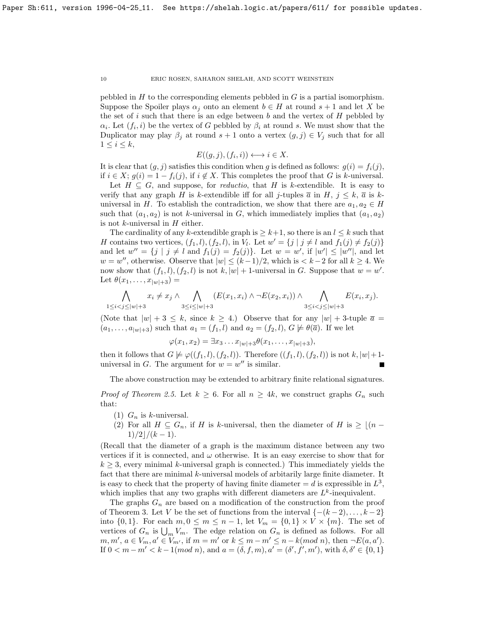pebbled in  $H$  to the corresponding elements pebbled in  $G$  is a partial isomorphism. Suppose the Spoiler plays  $\alpha_j$  onto an element  $b \in H$  at round  $s + 1$  and let X be the set of i such that there is an edge between b and the vertex of  $H$  pebbled by  $\alpha_i$ . Let  $(f_i, i)$  be the vertex of G pebbled by  $\beta_i$  at round s. We must show that the Duplicator may play  $\beta_j$  at round  $s + 1$  onto a vertex  $(g, j) \in V_j$  such that for all  $1 \leq i \leq k$ ,

$$
E((g,j),(f_i,i)) \longleftrightarrow i \in X.
$$

It is clear that  $(q, j)$  satisfies this condition when g is defined as follows:  $q(i) = f_i(j)$ , if  $i \in X$ ;  $g(i) = 1 - f_i(j)$ , if  $i \notin X$ . This completes the proof that G is k-universal.

Let  $H \subseteq G$ , and suppose, for *reductio*, that H is k-extendible. It is easy to verify that any graph H is k-extendible iff for all j-tuples  $\bar{a}$  in H,  $j \leq k$ ,  $\bar{a}$  is kuniversal in H. To establish the contradiction, we show that there are  $a_1, a_2 \in H$ such that  $(a_1, a_2)$  is not k-universal in G, which immediately implies that  $(a_1, a_2)$ is not  $k$ -universal in  $H$  either.

The cardinality of any k-extendible graph is  $\geq k+1$ , so there is an  $l \leq k$  such that H contains two vertices,  $(f_1, l), (f_2, l)$ , in  $V_l$ . Let  $w' = \{j \mid j \neq l \text{ and } f_1(j) \neq f_2(j)\}\$ and let  $w'' = \{j \mid j \neq l \text{ and } f_1(j) = f_2(j)\}\.$  Let  $w = w'$ , if  $|w'| \leq |w''|$ , and let  $w = w''$ , otherwise. Observe that  $|w| \le (k-1)/2$ , which is  $k-2$  for all  $k \ge 4$ . We now show that  $(f_1, l), (f_2, l)$  is not  $k, |w| + 1$ -universal in G. Suppose that  $w = w'$ . Let  $\theta(x_1,\ldots,x_{|w|+3})=$ 

$$
\bigwedge_{1 \leq i < j \leq |w|+3} x_i \neq x_j \land \bigwedge_{3 \leq i \leq |w|+3} (E(x_1, x_i) \land \neg E(x_2, x_i)) \land \bigwedge_{3 \leq i < j \leq |w|+3} E(x_i, x_j).
$$

(Note that  $|w| + 3 \leq k$ , since  $k \geq 4$ .) Observe that for any  $|w| + 3$ -tuple  $\bar{a} =$  $(a_1, \ldots, a_{|w|+3})$  such that  $a_1 = (f_1, l)$  and  $a_2 = (f_2, l)$ ,  $G \not\models \theta(\overline{a})$ . If we let

$$
\varphi(x_1, x_2) = \exists x_3 \dots x_{|w|+3} \theta(x_1, \dots, x_{|w|+3}),
$$

then it follows that  $G \not\models \varphi((f_1, l), (f_2, l))$ . Therefore  $((f_1, l), (f_2, l))$  is not  $k, |w| + 1$ universal in G. The argument for  $w = w''$  is similar.

The above construction may be extended to arbitrary finite relational signatures.

*Proof of Theorem [2.5.](#page-2-5)* Let  $k \geq 6$ . For all  $n \geq 4k$ , we construct graphs  $G_n$  such that:

- (1)  $G_n$  is k-universal.
- (2) For all  $H \subseteq G_n$ , if H is k-universal, then the diameter of H is  $\geq \lfloor (n \frac{1}{2}) \rfloor$  $1)/2/(k-1)$ .

(Recall that the diameter of a graph is the maximum distance between any two vertices if it is connected, and  $\omega$  otherwise. It is an easy exercise to show that for  $k \geq 3$ , every minimal k-universal graph is connected.) This immediately yields the fact that there are minimal k-universal models of arbitarily large finite diameter. It is easy to check that the property of having finite diameter  $=d$  is expressible in  $L^3$ , which implies that any two graphs with different diameters are  $L^k$ -inequivalent.

The graphs  $G_n$  are based on a modification of the construction from the proof of Theorem 3. Let V be the set of functions from the interval  $\{-(k-2), \ldots, k-2\}$ into  $\{0,1\}$ . For each  $m, 0 \leq m \leq n-1$ , let  $V_m = \{0,1\} \times V \times \{m\}$ . The set of vertices of  $G_n$  is  $\bigcup_m V_m$ . The edge relation on  $G_n$  is defined as follows. For all  $m, m', a \in V_m, a' \in V_{m'}$ , if  $m = m'$  or  $k \le m - m' \le n - k (mod n)$ , then  $\neg E(a, a')$ . If  $0 < m - m' < k - 1(mod n)$ , and  $a = (\delta, f, m), a' = (\delta', f', m')$ , with  $\delta, \delta' \in \{0, 1\}$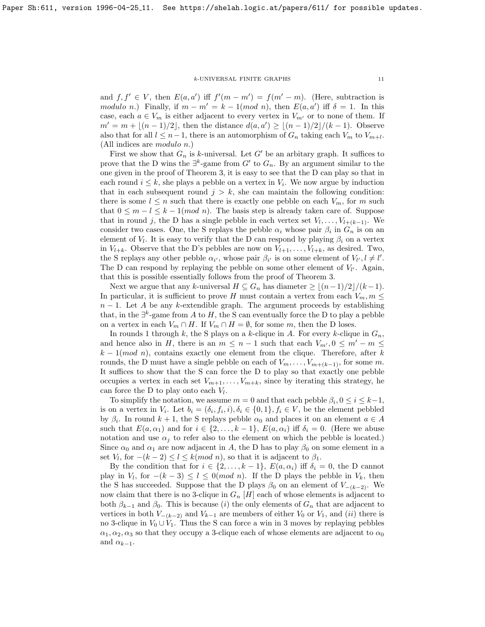### $k$  -UNIVERSAL FINITE GRAPHS  $\hfill$   $\hfill$   $\hfill$   $\hfill$   $\hfill$   $\hfill$   $\hfill$   $\hfill$

and  $f, f' \in V$ , then  $E(a, a')$  iff  $f'(m - m') = f(m' - m)$ . (Here, subtraction is modulo n.) Finally, if  $m - m' = k - 1 \pmod{n}$ , then  $E(a, a')$  iff  $\delta = 1$ . In this case, each  $a \in V_m$  is either adjacent to every vertex in  $V_{m'}$  or to none of them. If  $m' = m + (n - 1)/2$ , then the distance  $d(a, a') \geq (n - 1)/2/(k - 1)$ . Observe also that for all  $l \leq n-1$ , there is an automorphism of  $G_n$  taking each  $V_m$  to  $V_{m+l}$ . (All indices are modulo n.)

First we show that  $G_n$  is k-universal. Let G' be an arbitary graph. It suffices to prove that the D wins the  $\exists^k$ -game from G' to  $G_n$ . By an argument similar to the one given in the proof of Theorem 3, it is easy to see that the D can play so that in each round  $i \leq k$ , she plays a pebble on a vertex in  $V_i$ . We now argue by induction that in each subsequent round  $j > k$ , she can maintain the following condition: there is some  $l \leq n$  such that there is exactly one pebble on each  $V_m$ , for m such that  $0 \leq m - l \leq k - 1 \pmod{n}$ . The basis step is already taken care of. Suppose that in round j, the D has a single pebble in each vertex set  $V_1, \ldots, V_{l+(k-1)}$ . We consider two cases. One, the S replays the pebble  $\alpha_i$  whose pair  $\beta_i$  in  $G_n$  is on an element of  $V_l$ . It is easy to verify that the D can respond by playing  $\beta_i$  on a vertex in  $V_{l+k}$ . Observe that the D's pebbles are now on  $V_{l+1}, \ldots, V_{l+k}$ , as desired. Two, the S replays any other pebble  $\alpha_{i'}$ , whose pair  $\beta_{i'}$  is on some element of  $V_{l'}, l \neq l'$ . The D can respond by replaying the pebble on some other element of  $V_{l'}$ . Again, that this is possible essentially follows from the proof of Theorem 3.

Next we argue that any k-universal  $H \subseteq G_n$  has diameter  $\geq \lfloor (n-1)/2 \rfloor/(k-1)$ . In particular, it is sufficient to prove H must contain a vertex from each  $V_m$ ,  $m \leq$  $n-1$ . Let A be any k-extendible graph. The argument proceeds by establishing that, in the  $\exists^k$ -game from A to H, the S can eventually force the D to play a pebble on a vertex in each  $V_m \cap H$ . If  $V_m \cap H = \emptyset$ , for some m, then the D loses.

In rounds 1 through k, the S plays on a k-clique in A. For every k-clique in  $G_n$ , and hence also in H, there is an  $m \leq n-1$  such that each  $V_{m}$ ,  $0 \leq m'-m \leq$  $k-1(mod\;n)$ , contains exactly one element from the clique. Therefore, after k rounds, the D must have a single pebble on each of  $V_m, \ldots, V_{m+(k-1)}$ , for some m. It suffices to show that the S can force the D to play so that exactly one pebble occupies a vertex in each set  $V_{m+1}, \ldots, V_{m+k}$ , since by iterating this strategy, he can force the D to play onto each  $V_l$ .

To simplify the notation, we assume  $m = 0$  and that each pebble  $\beta_i, 0 \leq i \leq k-1$ , is on a vertex in  $V_i$ . Let  $b_i = (\delta_i, f_i, i), \delta_i \in \{0, 1\}, f_i \in V$ , be the element pebbled by  $\beta_i$ . In round  $k+1$ , the S replays pebble  $\alpha_0$  and places it on an element  $a \in A$ such that  $E(a, \alpha_1)$  and for  $i \in \{2, ..., k-1\}$ ,  $E(a, \alpha_i)$  iff  $\delta_i = 0$ . (Here we abuse notation and use  $\alpha_j$  to refer also to the element on which the pebble is located.) Since  $\alpha_0$  and  $\alpha_1$  are now adjacent in A, the D has to play  $\beta_0$  on some element in a set  $V_l$ , for  $-(k-2) \leq l \leq k (mod \ n)$ , so that it is adjacent to  $\beta_1$ .

By the condition that for  $i \in \{2, ..., k-1\}$ ,  $E(a, \alpha_i)$  iff  $\delta_i = 0$ , the D cannot play in  $V_l$ , for  $-(k-3) \leq l \leq 0 \pmod{n}$ . If the D plays the pebble in  $V_k$ , then the S has succeeded. Suppose that the D plays  $\beta_0$  on an element of  $V_{-(k-2)}$ . We now claim that there is no 3-clique in  $G_n$  [H] each of whose elements is adjacent to both  $\beta_{k-1}$  and  $\beta_0$ . This is because (i) the only elements of  $G_n$  that are adjacent to vertices in both  $V_{-(k-2)}$  and  $V_{k-1}$  are members of either  $V_0$  or  $V_1$ , and  $(ii)$  there is no 3-clique in  $V_0 \cup V_1$ . Thus the S can force a win in 3 moves by replaying pebbles  $\alpha_1, \alpha_2, \alpha_3$  so that they occupy a 3-clique each of whose elements are adjacent to  $\alpha_0$ and  $\alpha_{k-1}$ .